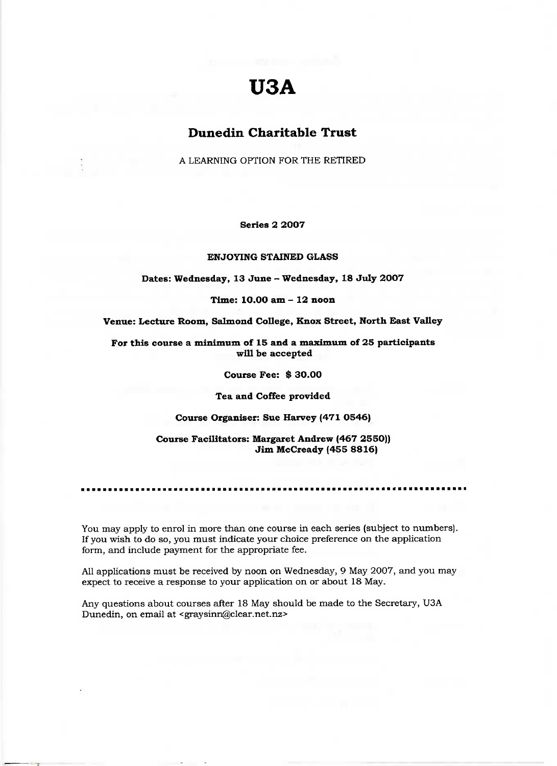# **USA**

## **Dunedin Charitable Trust**

A LEARNING OPTION FOR THE RETIRED

**Series 2 2007**

**ENJOYING STAINED GLASS**

**Dates: Wednesday, 13 June - Wednesday, 18 July 2007**

**Time: 10.00 am - 12 noon**

**Venue: Lecture Room, Salmond College, Knox Street, North East Valley**

**For this course a minimum of 15 and a maximum of 25 participants will be accepted**

**Course Fee: \$ 30.00**

**Tea and Coffee provided**

**Course Organiser: Sue Harvey (471 0546)**

**Course Facilitators: Margaret Andrew (467 2550)) Jim McCready (455 8816)**

You may apply to enrol in more than one course in each series (subject to numbers). If you wish to do so, you must indicate your choice preference on the application form, and include payment for the appropriate fee.

All applications must be received by noon on Wednesday, 9 May 2007, and you may expect to receive a response to your application on or about 18 May.

Any questions about courses after 18 May should be made to the Secretary, USA Dunedin, on email at <graysinn@clear.net.nz>